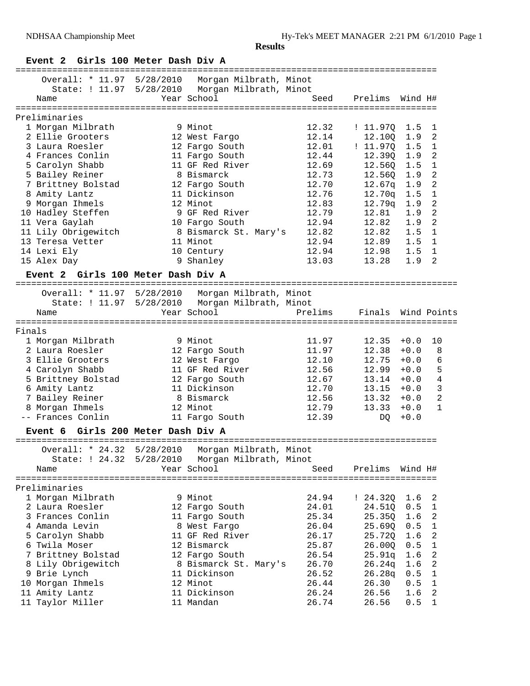## **Event 2 Girls 100 Meter Dash Div A**

|        |                                              |           |                                                                                                                     | ================================= |          |         |                |
|--------|----------------------------------------------|-----------|---------------------------------------------------------------------------------------------------------------------|-----------------------------------|----------|---------|----------------|
|        | Name                                         |           | Overall: * 11.97 5/28/2010 Morgan Milbrath, Minot<br>State: ! 11.97 5/28/2010 Morgan Milbrath, Minot<br>Year School | Seed                              | Prelims  | Wind H# |                |
|        | ===================                          |           |                                                                                                                     |                                   |          |         |                |
|        | Preliminaries                                |           |                                                                                                                     |                                   |          |         |                |
|        | 1 Morgan Milbrath                            |           | 9 Minot                                                                                                             | 12.32                             | : 11.97Q | $1.5$   | 1              |
|        | 2 Ellie Grooters                             |           | 12 West Fargo                                                                                                       | 12.14                             | 12.10Q   | 1.9     | 2              |
|        | 3 Laura Roesler                              |           | 12 Fargo South                                                                                                      | 12.01                             | : 11.97Q | 1.5     | 1              |
|        | 4 Frances Conlin                             |           | 11 Fargo South                                                                                                      | 12.44                             | 12.39Q   | 1.9     | 2              |
|        | 5 Carolyn Shabb                              |           | 11 GF Red River                                                                                                     | 12.69                             | 12.56Q   | 1.5     | 1              |
|        | 5 Bailey Reiner                              |           | 8 Bismarck                                                                                                          | 12.73                             | 12.56Q   | 1.9     | $\overline{c}$ |
|        | 7 Brittney Bolstad                           |           | 12 Fargo South                                                                                                      | 12.70                             | 12.67q   | 1.9     | $\overline{2}$ |
|        | 8 Amity Lantz                                |           | 11 Dickinson                                                                                                        | 12.76                             | 12.70q   | 1.5     | $\mathbf{1}$   |
|        | 9 Morgan Ihmels                              |           | 12 Minot                                                                                                            | 12.83                             | 12.79q   | 1.9     | 2              |
|        | 10 Hadley Steffen                            |           | 9 GF Red River                                                                                                      | 12.79                             | 12.81    | 1.9     | 2              |
|        | 11 Vera Gaylah                               |           | 10 Fargo South                                                                                                      | 12.94                             | 12.82    | 1.9     | 2              |
|        | 11 Lily Obrigewitch                          |           | 8 Bismarck St. Mary's                                                                                               | 12.82                             | 12.82    | 1.5     | 1              |
|        | 13 Teresa Vetter                             |           | 11 Minot                                                                                                            | 12.94                             | 12.89    | 1.5     | $\mathbf{1}$   |
|        | 14 Lexi Ely                                  |           | 10 Century                                                                                                          | 12.94                             | 12.98    | 1.5     | 1              |
|        | 15 Alex Day                                  |           | 9 Shanley                                                                                                           | 13.03                             | 13.28    | 1.9     | 2              |
|        | Event 2<br>Girls 100 Meter Dash Div A        |           |                                                                                                                     |                                   |          |         |                |
|        |                                              |           |                                                                                                                     |                                   |          |         |                |
|        | Overall: * 11.97 5/28/2010                   |           | Morgan Milbrath, Minot                                                                                              |                                   |          |         |                |
|        | State: ! 11.97                               | 5/28/2010 | Morgan Milbrath, Minot                                                                                              |                                   |          |         |                |
|        | Name                                         |           | Year School                                                                                                         | Prelims                           | Finals   |         | Wind Points    |
|        |                                              |           |                                                                                                                     |                                   |          |         |                |
| Finals |                                              |           |                                                                                                                     |                                   |          |         |                |
|        | 1 Morgan Milbrath                            |           | 9 Minot                                                                                                             | 11.97                             | 12.35    | $+0.0$  | 10             |
|        | 2 Laura Roesler                              |           | 12 Fargo South                                                                                                      | 11.97                             | 12.38    | $+0.0$  | 8              |
|        | 3 Ellie Grooters                             |           | 12 West Fargo                                                                                                       | 12.10                             | 12.75    | $+0.0$  | 6              |
|        | 4 Carolyn Shabb                              |           | 11 GF Red River                                                                                                     | 12.56                             | 12.99    | $+0.0$  | 5              |
|        | 5 Brittney Bolstad                           |           | 12 Fargo South                                                                                                      | 12.67                             | 13.14    | $+0.0$  | 4              |
|        | 6 Amity Lantz                                |           | 11 Dickinson                                                                                                        | 12.70                             | 13.15    | $+0.0$  | 3              |
|        | 7 Bailey Reiner                              |           | 8 Bismarck                                                                                                          | 12.56                             | 13.32    | $+0.0$  | $\overline{2}$ |
|        | 8 Morgan Ihmels                              |           | 12 Minot                                                                                                            | 12.79                             | 13.33    | $+0.0$  | $\mathbf{1}$   |
|        | -- Frances Conlin                            |           | 11 Fargo South                                                                                                      | 12.39                             | DQ.      | $+0.0$  |                |
|        | Girls 200 Meter Dash Div A<br><b>Event 6</b> |           |                                                                                                                     |                                   |          |         |                |
|        |                                              |           |                                                                                                                     |                                   |          |         |                |
|        | Overall: * 24.32                             | 5/28/2010 | Morgan Milbrath, Minot                                                                                              |                                   |          |         |                |
|        | State: ! 24.32                               |           | 5/28/2010 Morgan Milbrath, Minot                                                                                    |                                   |          |         |                |
|        | Name                                         |           | Year School                                                                                                         | Seed                              | Prelims  | Wind H# |                |
|        |                                              |           |                                                                                                                     |                                   |          |         |                |
|        | Preliminaries                                |           |                                                                                                                     |                                   |          |         |                |
|        | 1 Morgan Milbrath                            |           | 9 Minot                                                                                                             | 24.94                             | : 24.32Q | 1.6     | 2              |
|        | 2 Laura Roesler                              |           | 12 Fargo South                                                                                                      | 24.01                             | 24.51Q   | 0.5     | 1              |
|        | 3 Frances Conlin                             |           | 11 Fargo South                                                                                                      | 25.34                             | 25.35Q   | 1.6     | 2              |
|        | 4 Amanda Levin                               |           | 8 West Fargo                                                                                                        | 26.04                             | 25.69Q   | 0.5     | 1              |
|        | 5 Carolyn Shabb                              |           | 11 GF Red River                                                                                                     | 26.17                             | 25.72Q   | 1.6     | 2              |
|        | 6 Twila Moser                                |           | 12 Bismarck                                                                                                         | 25.87                             | 26.00Q   | 0.5     | 1              |
|        | 7 Brittney Bolstad                           |           | 12 Fargo South                                                                                                      | 26.54                             | 25.91q   | 1.6     | 2              |
|        | 8 Lily Obrigewitch                           |           | 8 Bismarck St. Mary's                                                                                               | 26.70                             | 26.24q   | 1.6     | 2              |
|        | 9 Brie Lynch                                 |           | 11 Dickinson                                                                                                        | 26.52                             | 26.28q   | 0.5     | 1              |
|        | 10 Morgan Ihmels                             |           | 12 Minot                                                                                                            | 26.44                             | 26.30    | 0.5     | 1              |
|        | 11 Amity Lantz                               |           | 11 Dickinson                                                                                                        | 26.24                             | 26.56    | 1.6     | 2              |
|        | 11 Taylor Miller                             |           | 11 Mandan                                                                                                           | 26.74                             | 26.56    | 0.5     | 1              |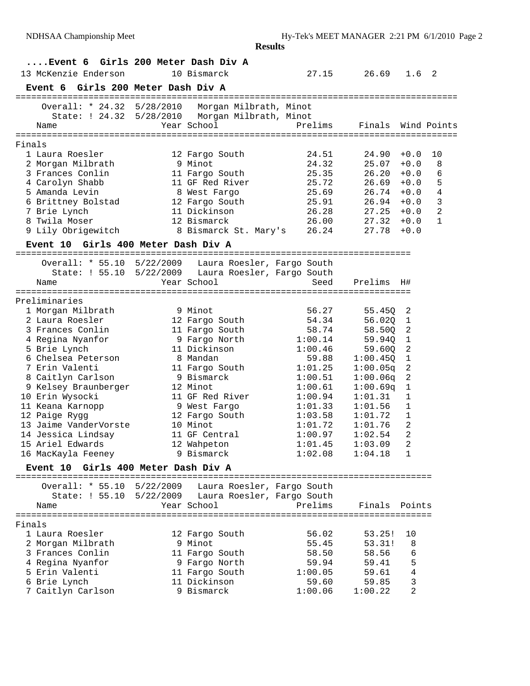|        |                                                       |           |                        | <b>Results</b>             |          |             |                |
|--------|-------------------------------------------------------|-----------|------------------------|----------------------------|----------|-------------|----------------|
|        | Event 6 Girls 200 Meter Dash Div A                    |           |                        |                            |          |             |                |
|        | 13 McKenzie Enderson                                  |           | 10 Bismarck            | 27.15                      | 26.69    | 1.6         | $\overline{2}$ |
|        | Event 6 Girls 200 Meter Dash Div A                    |           |                        |                            |          |             |                |
|        |                                                       |           |                        |                            |          |             |                |
|        | Overall: * 24.32 5/28/2010                            |           | Morgan Milbrath, Minot |                            |          |             |                |
|        | State: ! 24.32 5/28/2010                              |           |                        | Morgan Milbrath, Minot     |          |             |                |
|        | Name                                                  |           | Year School            | Prelims                    | Finals   |             | Wind Points    |
| Finals |                                                       |           |                        |                            |          |             |                |
|        | 1 Laura Roesler                                       |           | 12 Fargo South         | 24.51                      | 24.90    | $+0.0$      | 10             |
|        | 2 Morgan Milbrath                                     |           | 9 Minot                | 24.32                      | 25.07    | $+0.0$      | 8              |
|        | 3 Frances Conlin                                      |           | 11 Fargo South         | 25.35                      | 26.20    | $+0.0$      | 6              |
|        | 4 Carolyn Shabb                                       |           | 11 GF Red River        | 25.72                      | 26.69    | $+0.0$      | 5              |
|        | 5 Amanda Levin                                        |           | 8 West Fargo           | 25.69                      | 26.74    | $+0.0$      | 4              |
|        | 6 Brittney Bolstad                                    |           | 12 Fargo South         | 25.91                      | 26.94    | $+0.0$      | 3              |
|        | 7 Brie Lynch                                          |           | 11 Dickinson           | 26.28                      | 27.25    | $+0.0$      | $\overline{a}$ |
|        | 8 Twila Moser                                         |           | 12 Bismarck            | 26.00                      | 27.32    | $+0.0$      | $\mathbf{1}$   |
|        | 9 Lily Obrigewitch                                    |           | 8 Bismarck St. Mary's  | 26.24                      | 27.78    | $+0.0$      |                |
|        | Event 10 Girls 400 Meter Dash Div A                   |           |                        |                            |          |             |                |
|        |                                                       |           |                        |                            |          |             |                |
|        | Overall: * 55.10 5/22/2009 Laura Roesler, Fargo South |           |                        |                            |          |             |                |
|        | State: ! 55.10                                        | 5/22/2009 | Year School            | Laura Roesler, Fargo South |          |             |                |
|        | Name<br>===================                           |           |                        | Seed                       | Prelims  | H#          |                |
|        | Preliminaries                                         |           |                        |                            |          |             |                |
|        | 1 Morgan Milbrath                                     |           | 9 Minot                | 56.27                      | 55.450   | 2           |                |
|        | 2 Laura Roesler                                       |           | 12 Fargo South         | 54.34                      | 56.020   | 1           |                |
|        | 3 Frances Conlin                                      |           | 11 Fargo South         | 58.74                      | 58.500   | 2           |                |
|        | 4 Regina Nyanfor                                      |           | 9 Fargo North          | 1:00.14                    | 59.940   | 1           |                |
|        | 5 Brie Lynch                                          |           | 11 Dickinson           | 1:00.46                    | 59.600   | 2           |                |
|        | 6 Chelsea Peterson                                    |           | 8 Mandan               | 59.88                      | 1:00.450 | $\mathbf 1$ |                |
|        | 7 Erin Valenti                                        |           | 11 Fargo South         | 1:01.25                    | 1:00.05q | 2           |                |
|        | 8 Caitlyn Carlson                                     |           | 9 Bismarck             | 1:00.51                    | 1:00.06q | 2           |                |
|        | 9 Kelsey Braunberger                                  |           | 12 Minot               | 1:00.61                    | 1:00.69q | 1           |                |
|        | 10 Erin Wysocki                                       |           | 11 GF Red River        | 1:00.94                    | 1:01.31  | 1           |                |
|        | 11 Keana Karnopp                                      |           | 9 West Fargo           | 1:01.33                    | 1:01.56  | 1           |                |
|        | 12 Paige Rygg                                         |           | 12 Fargo South         | 1:03.58                    | 1:01.72  | $\mathbf 1$ |                |
|        | 13 Jaime VanderVorste                                 |           | 10 Minot               | 1:01.72                    | 1:01.76  | 2           |                |
|        | 14 Jessica Lindsay                                    |           | 11 GF Central          | 1:00.97                    | 1:02.54  | 2           |                |
|        | 15 Ariel Edwards                                      |           | 12 Wahpeton            | 1:01.45                    | 1:03.09  | 2           |                |
|        | 16 MacKayla Feeney                                    |           | 9 Bismarck             | 1:02.08                    | 1:04.18  | 1           |                |
|        | Event 10 Girls 400 Meter Dash Div A                   |           |                        |                            |          |             |                |
|        | Overall: * 55.10 5/22/2009 Laura Roesler, Fargo South |           |                        |                            |          |             |                |
|        | State: ! 55.10 5/22/2009 Laura Roesler, Fargo South   |           |                        |                            |          |             |                |
|        | Name                                                  |           | Year School            | Prelims                    | Finals   | Points      |                |
|        |                                                       |           |                        |                            |          |             |                |
| Finals |                                                       |           |                        |                            |          |             |                |
|        | 1 Laura Roesler                                       |           | 12 Fargo South         | 56.02                      | 53.25!   | 10          |                |
|        | 2 Morgan Milbrath                                     |           | 9 Minot                | 55.45                      | 53.31!   | 8           |                |
|        | 3 Frances Conlin                                      |           | 11 Fargo South         | 58.50                      | 58.56    | 6           |                |
|        | 4 Regina Nyanfor                                      |           | 9 Fargo North          | 59.94                      | 59.41    | 5           |                |
|        | 5 Erin Valenti                                        |           | 11 Fargo South         | 1:00.05                    | 59.61    | 4           |                |
|        | 6 Brie Lynch                                          |           | 11 Dickinson           | 59.60                      | 59.85    | 3           |                |
|        | 7 Caitlyn Carlson                                     |           | 9 Bismarck             | 1:00.06                    | 1:00.22  | 2           |                |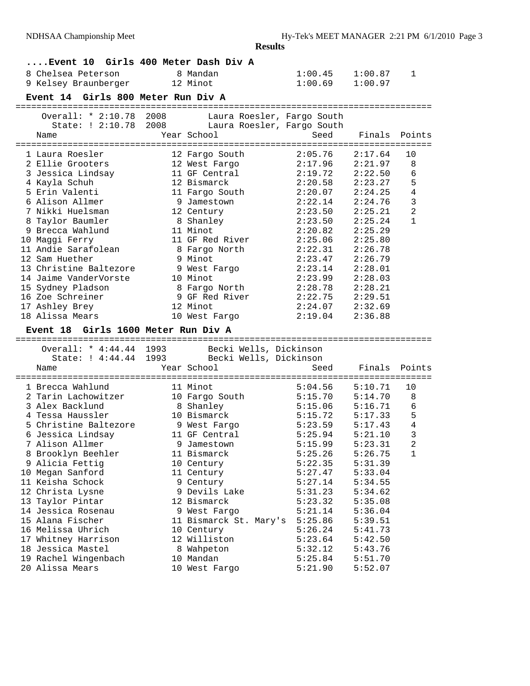| 8 Chelsea Peterson<br>9 Kelsey Braunberger<br>Event 14 Girls 800 Meter Run Div A                                                                                                                                                                                                                                                                                                                                               | Event 10 Girls 400 Meter Dash Div A<br>8 Mandan<br>12 Minot                                                                                                                                                                                                                                                        | 1:00.45<br>1:00.69                                                                                                                                                                                                       | 1:00.87<br>1:00.97                                                                                                                                                                                                       | 1                                                             |
|--------------------------------------------------------------------------------------------------------------------------------------------------------------------------------------------------------------------------------------------------------------------------------------------------------------------------------------------------------------------------------------------------------------------------------|--------------------------------------------------------------------------------------------------------------------------------------------------------------------------------------------------------------------------------------------------------------------------------------------------------------------|--------------------------------------------------------------------------------------------------------------------------------------------------------------------------------------------------------------------------|--------------------------------------------------------------------------------------------------------------------------------------------------------------------------------------------------------------------------|---------------------------------------------------------------|
| Overall: * 2:10.78 2008<br>State: ! 2:10.78<br>Name                                                                                                                                                                                                                                                                                                                                                                            | Laura Roesler, Fargo South<br>2008<br>Laura Roesler, Fargo South<br>Year School                                                                                                                                                                                                                                    | Seed                                                                                                                                                                                                                     | Finals                                                                                                                                                                                                                   | Points                                                        |
| 1 Laura Roesler<br>2 Ellie Grooters<br>3 Jessica Lindsay<br>4 Kayla Schuh<br>5 Erin Valenti<br>6 Alison Allmer<br>7 Nikki Huelsman<br>8 Taylor Baumler<br>9 Brecca Wahlund<br>10 Maggi Ferry<br>11 Andie Sarafolean<br>12 Sam Huether<br>13 Christine Baltezore<br>14 Jaime VanderVorste<br>15 Sydney Pladson<br>16 Zoe Schreiner<br>17 Ashley Brey<br>18 Alissa Mears<br>Event 18 Girls 1600 Meter Run Div A                  | 12 Fargo South<br>12 West Fargo<br>11 GF Central<br>12 Bismarck<br>11 Fargo South<br>9 Jamestown<br>12 Century<br>8 Shanley<br>11 Minot<br>11 GF Red River<br>8 Fargo North<br>9 Minot<br>9 West Fargo<br>10 Minot<br>8 Fargo North<br>9 GF Red River<br>12 Minot<br>10 West Fargo                                 | 2:05.76<br>2:17.96<br>2:19.72<br>2:20.58<br>2:20.07<br>2:22.14<br>2:23.50<br>2:23.50<br>2:20.82<br>2:25.06<br>2:22.31<br>2:23.47<br>2:23.14<br>2:23.99<br>2:28.78<br>2:22.75<br>2:24.07<br>2:19.04                       | 2:17.64<br>2:21.97<br>2:22.50<br>2:23.27<br>2:24.25<br>2:24.76<br>2:25.21<br>2:25.24<br>2:25.29<br>2:25.80<br>2:26.78<br>2:26.79<br>2:28.01<br>2:28.03<br>2:28.21<br>2:29.51<br>2:32.69<br>2:36.88                       | 10<br>8<br>6<br>5<br>4<br>3<br>$\overline{2}$<br>$\mathbf{1}$ |
| Overall: * 4:44.44 1993<br>State: ! 4:44.44<br>Name                                                                                                                                                                                                                                                                                                                                                                            | Becki Wells, Dickinson<br>1993 Becki Wells, Dickinson<br>Year School                                                                                                                                                                                                                                               | Seed                                                                                                                                                                                                                     | Finals                                                                                                                                                                                                                   | Points                                                        |
| 1 Brecca Wahlund<br>2 Tarin Lachowitzer<br>3 Alex Backlund<br>4 Tessa Haussler<br>5 Christine Baltezore<br>6 Jessica Lindsay<br>7 Alison Allmer<br>8 Brooklyn Beehler<br>9 Alicia Fettig<br>10 Megan Sanford<br>11 Keisha Schock<br>12 Christa Lysne<br>13 Taylor Pintar<br>14 Jessica Rosenau<br>15 Alana Fischer<br>16 Melissa Uhrich<br>17 Whitney Harrison<br>18 Jessica Mastel<br>19 Rachel Wingenbach<br>20 Alissa Mears | 11 Minot<br>10 Fargo South<br>8 Shanley<br>10 Bismarck<br>9 West Fargo<br>11 GF Central<br>9 Jamestown<br>11 Bismarck<br>10 Century<br>11 Century<br>9 Century<br>9 Devils Lake<br>12 Bismarck<br>9 West Fargo<br>11 Bismarck St. Mary's<br>10 Century<br>12 Williston<br>8 Wahpeton<br>10 Mandan<br>10 West Fargo | 5:04.56<br>5:15.70<br>5:15.06<br>5:15.72<br>5:23.59<br>5:25.94<br>5:15.99<br>5:25.26<br>5:22.35<br>5:27.47<br>5:27.14<br>5:31.23<br>5:23.32<br>5:21.14<br>5:25.86<br>5:26.24<br>5:23.64<br>5:32.12<br>5:25.84<br>5:21.90 | 5:10.71<br>5:14.70<br>5:16.71<br>5:17.33<br>5:17.43<br>5:21.10<br>5:23.31<br>5:26.75<br>5:31.39<br>5:33.04<br>5:34.55<br>5:34.62<br>5:35.08<br>5:36.04<br>5:39.51<br>5:41.73<br>5:42.50<br>5:43.76<br>5:51.70<br>5:52.07 | 10<br>8<br>6<br>5<br>$\overline{4}$<br>3<br>$\sqrt{2}$<br>1   |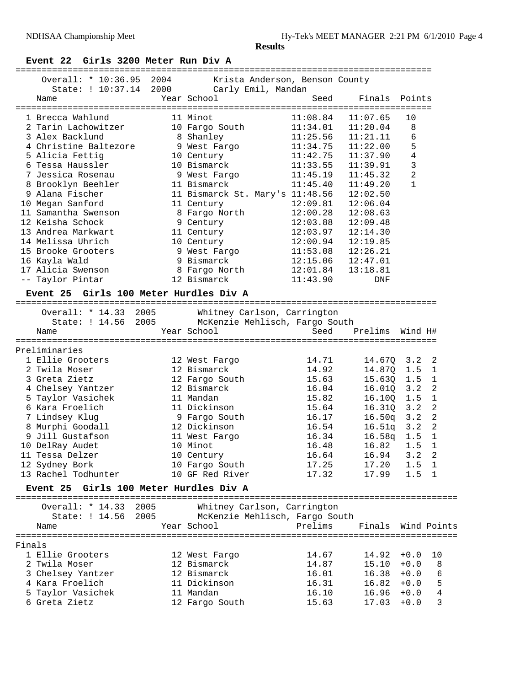# **Event 22 Girls 3200 Meter Run Div A**

|        | Overall: * 10:36.95 2004               |      |                    | Krista Anderson, Benson County            |                 |                |                |
|--------|----------------------------------------|------|--------------------|-------------------------------------------|-----------------|----------------|----------------|
|        | State: ! 10:37.14 2000                 |      | Carly Emil, Mandan |                                           |                 |                |                |
|        | Name                                   |      | Year School        | Seed                                      | Finals Points   |                |                |
|        |                                        |      |                    |                                           |                 |                |                |
|        | 1 Brecca Wahlund                       |      | 11 Minot           | 11:08.84                                  | 11:07.65        | 10             |                |
|        | 2 Tarin Lachowitzer                    |      | 10 Fargo South     | 11:34.01                                  | 11:20.04        | 8              |                |
|        | 3 Alex Backlund                        |      | 8 Shanley          | 11:25.56                                  | 11:21.11        | 6              |                |
|        | 4 Christine Baltezore                  |      | 9 West Fargo       | 11:34.75                                  | 11:22.00        | 5              |                |
|        | 5 Alicia Fettig                        |      | 10 Century         | 11:42.75                                  | 11:37.90        | $\overline{4}$ |                |
|        | 6 Tessa Haussler                       |      | 10 Bismarck        | 11:33.55                                  | 11:39.91        | 3              |                |
|        | 7 Jessica Rosenau                      |      | 9 West Fargo       | 11:45.19                                  | 11:45.32        | $\overline{c}$ |                |
|        | 8 Brooklyn Beehler                     |      | 11 Bismarck        | 11:45.40                                  | 11:49.20        | $\mathbf{1}$   |                |
|        | 9 Alana Fischer                        |      |                    | 11 Bismarck St. Mary's 11:48.56           | 12:02.50        |                |                |
|        | 10 Megan Sanford                       |      | 11 Century         | 12:09.81                                  | 12:06.04        |                |                |
|        | 11 Samantha Swenson                    |      | 8 Fargo North      | 12:00.28                                  | 12:08.63        |                |                |
|        | 12 Keisha Schock                       |      | 9 Century          | 12:03.88                                  | 12:09.48        |                |                |
|        | 13 Andrea Markwart                     |      | 11 Century         | 12:03.97                                  | 12:14.30        |                |                |
|        | 14 Melissa Uhrich                      |      | 10 Century         | 12:00.94                                  | 12:19.85        |                |                |
|        | 15 Brooke Grooters                     |      | 9 West Fargo       | 11:53.08                                  | 12:26.21        |                |                |
|        | 16 Kayla Wald                          |      | 9 Bismarck         | 12:15.06                                  | 12:47.01        |                |                |
|        | 17 Alicia Swenson                      |      | 8 Fargo North      | 12:01.84                                  | 13:18.81        |                |                |
|        | -- Taylor Pintar                       |      | 12 Bismarck        | 11:43.90                                  | DNF             |                |                |
|        | Event 25 Girls 100 Meter Hurdles Div A |      |                    |                                           |                 |                |                |
|        | Overall: * 14.33 2005                  |      |                    | Whitney Carlson, Carrington               |                 |                |                |
|        | State: ! 14.56                         | 2005 |                    | McKenzie Mehlisch, Fargo South            |                 |                |                |
|        | Name                                   |      | Year School        | Seed                                      | Prelims Wind H# |                |                |
|        |                                        |      |                    |                                           |                 |                |                |
|        | Preliminaries                          |      |                    |                                           |                 |                |                |
|        | 1 Ellie Grooters                       |      | 12 West Fargo      | 14.71                                     | 14.67Q          | 3.2            | 2              |
|        | 2 Twila Moser                          |      | 12 Bismarck        | 14.92                                     | 14.87Q          | 1.5            | $\mathbf{1}$   |
|        | 3 Greta Zietz                          |      | 12 Fargo South     | 15.63                                     | 15.63Q          | 1.5            | $\overline{1}$ |
|        | 4 Chelsey Yantzer                      |      | 12 Bismarck        | 16.04                                     | 16.01Q          | 3.2            | $\overline{2}$ |
|        | 5 Taylor Vasichek                      |      | 11 Mandan          | 15.82                                     | 16.100          | 1.5            | $\overline{1}$ |
|        | 6 Kara Froelich                        |      | 11 Dickinson       | 15.64                                     | 16.31Q          | 3.2            | $\overline{2}$ |
|        | 7 Lindsey Klug                         |      | 9 Fargo South      | 16.17                                     | 16.50q          | 3.2            | $\overline{2}$ |
|        | 8 Murphi Goodall                       |      | 12 Dickinson       | 16.54                                     | 16.51q          | 3.2            | 2              |
|        | 9 Jill Gustafson                       |      | 11 West Fargo      | 16.34                                     | 16.58q          | 1.5            | 1              |
|        | 10 DelRay Audet                        |      | 10 Minot           | 16.48                                     | 16.82           | 1.5            | $\mathbf{1}$   |
|        | 11 Tessa Delzer                        |      | 10 Century         | 16.64                                     | 16.94           | 3.2            | 2              |
|        | 12 Sydney Bork                         |      | 10 Fargo South     | 17.25                                     | 17.20           | 1.5            | $\mathbf{1}$   |
|        | 13 Rachel Todhunter                    |      | 10 GF Red River    | 17.32                                     | 17.99           | 1.5            | - 1            |
|        | Event 25 Girls 100 Meter Hurdles Div A |      |                    |                                           |                 |                |                |
|        |                                        |      |                    |                                           |                 |                |                |
|        | Overall: * 14.33 2005                  | 2005 |                    | Whitney Carlson, Carrington               |                 |                |                |
|        | State: ! 14.56                         |      | Year School        | McKenzie Mehlisch, Fargo South<br>Prelims |                 |                |                |
|        | Name                                   |      |                    |                                           | Finals          |                | Wind Points    |
| Finals |                                        |      |                    |                                           |                 |                |                |
|        | 1 Ellie Grooters                       |      | 12 West Fargo      | 14.67                                     | 14.92           | $+0.0$         | 10             |
|        | 2 Twila Moser                          |      | 12 Bismarck        | 14.87                                     | 15.10           | $+0.0$         | 8              |
|        | 3 Chelsey Yantzer                      |      | 12 Bismarck        | 16.01                                     | 16.38           | $+0.0$         | 6              |
|        | 4 Kara Froelich                        |      | 11 Dickinson       | 16.31                                     | 16.82           | $+0.0$         | 5              |
|        | 5 Taylor Vasichek                      |      | 11 Mandan          | 16.10                                     | 16.96           | $+0.0$         | 4              |

6 Greta Zietz 12 Fargo South 15.63 17.03 +0.0 3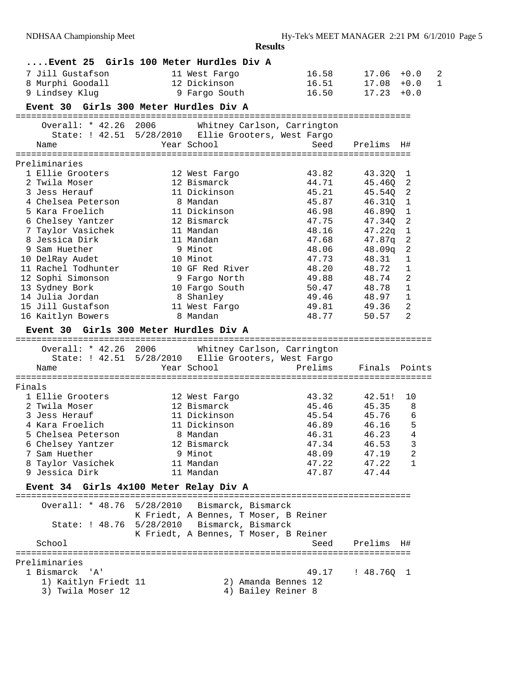|        | Event 25 Girls 100 Meter Hurdles Div A      |           |                               |                                                     |                  |                  |              |
|--------|---------------------------------------------|-----------|-------------------------------|-----------------------------------------------------|------------------|------------------|--------------|
|        | 7 Jill Gustafson                            |           | 11 West Fargo                 | 16.58                                               | 17.06            | $+0.0$           | 2            |
|        | 8 Murphi Goodall                            |           | 12 Dickinson                  | 16.51                                               | 17.08            | $+0.0$           | $\mathbf{1}$ |
|        | 9 Lindsey Klug                              |           | 9 Fargo South                 | 16.50                                               | 17.23            | $+0.0$           |              |
|        | Event 30                                    |           | Girls 300 Meter Hurdles Div A |                                                     |                  |                  |              |
|        |                                             |           |                               |                                                     |                  |                  |              |
|        | Overall: * 42.26 2006                       |           |                               | Whitney Carlson, Carrington                         |                  |                  |              |
|        |                                             |           |                               | State: ! 42.51 5/28/2010 Ellie Grooters, West Fargo |                  |                  |              |
|        | Name                                        |           | Year School                   | Seed                                                | Prelims          | H#               |              |
|        |                                             |           |                               |                                                     |                  |                  |              |
|        | Preliminaries<br>1 Ellie Grooters           |           |                               | 43.82                                               |                  |                  |              |
|        | 2 Twila Moser                               |           | 12 West Fargo<br>12 Bismarck  | 44.71                                               | 43.32Q<br>45.46Q | 1<br>2           |              |
|        | 3 Jess Herauf                               |           | 11 Dickinson                  | 45.21                                               | 45.54Q           | 2                |              |
|        | 4 Chelsea Peterson                          |           | 8 Mandan                      | 45.87                                               | 46.31Q           | $\overline{1}$   |              |
|        | 5 Kara Froelich                             |           | 11 Dickinson                  | 46.98                                               | 46.890           | $\mathbf{1}$     |              |
|        | 6 Chelsey Yantzer                           |           | 12 Bismarck                   | 47.75                                               | 47.340           | $\boldsymbol{2}$ |              |
|        | 7 Taylor Vasichek                           |           | 11 Mandan                     | 48.16                                               | 47.22q           | 1                |              |
|        | 8 Jessica Dirk                              |           | 11 Mandan                     | 47.68                                               | 47.87q           | $\overline{c}$   |              |
|        | 9 Sam Huether                               |           | 9 Minot                       | 48.06                                               | 48.09q           | 2                |              |
|        | 10 DelRay Audet                             |           | 10 Minot                      | 47.73                                               | 48.31            | 1                |              |
|        | 11 Rachel Todhunter                         |           | 10 GF Red River               | 48.20                                               | 48.72            | 1                |              |
|        | 12 Sophi Simonson                           |           | 9 Fargo North                 | 49.88                                               | 48.74            | 2                |              |
|        | 13 Sydney Bork                              |           | 10 Fargo South                | 50.47                                               | 48.78            | $\mathbf{1}$     |              |
|        | 14 Julia Jordan                             |           | 8 Shanley                     | 49.46                                               | 48.97            | $\mathbf{1}$     |              |
|        | 15 Jill Gustafson                           |           | 11 West Fargo                 | 49.81                                               | 49.36            | $\mathbf{2}$     |              |
|        | 16 Kaitlyn Bowers                           |           | 8 Mandan                      | 48.77                                               | 50.57            | 2                |              |
|        | <b>Event 30</b>                             |           | Girls 300 Meter Hurdles Div A |                                                     |                  |                  |              |
|        |                                             |           |                               |                                                     |                  |                  |              |
|        | Overall: * 42.26 2006                       |           |                               | Whitney Carlson, Carrington                         |                  |                  |              |
|        | State: ! 42.51 5/28/2010                    |           |                               | Ellie Grooters, West Fargo                          |                  |                  |              |
|        | Name                                        |           | Year School                   | Prelims                                             | Finals           | Points           |              |
|        |                                             |           |                               |                                                     |                  |                  |              |
| Finals |                                             |           |                               |                                                     |                  |                  |              |
|        | 1 Ellie Grooters                            |           | 12 West Fargo                 | 43.32                                               | 42.51!           | 10               |              |
|        | 2 Twila Moser                               |           | 12 Bismarck                   | 45.46                                               | 45.35            | 8                |              |
|        | 3 Jess Herauf                               |           | 11 Dickinson                  | 45.54                                               | 45.76            | 6                |              |
|        | 4 Kara Froelich                             |           | 11 Dickinson                  | 46.89                                               | 46.16            | 5                |              |
|        | 5 Chelsea Peterson                          |           | 8 Mandan                      | 46.31                                               | 46.23            | 4<br>3           |              |
|        | 6 Chelsey Yantzer                           |           | 12 Bismarck<br>9 Minot        | 47.34                                               | 46.53            |                  |              |
|        | 7 Sam Huether<br>8 Taylor Vasichek          |           | 11 Mandan                     | 48.09<br>47.22                                      | 47.19<br>47.22   | 2<br>1           |              |
|        | 9 Jessica Dirk                              |           | 11 Mandan                     | 47.87                                               | 47.44            |                  |              |
|        |                                             |           |                               |                                                     |                  |                  |              |
|        | Event 34 Girls 4x100 Meter Relay Div A      |           |                               |                                                     |                  |                  |              |
|        | Overall: * 48.76                            | 5/28/2010 |                               | Bismarck, Bismarck                                  |                  |                  |              |
|        |                                             |           |                               | K Friedt, A Bennes, T Moser, B Reiner               |                  |                  |              |
|        | State: ! 48.76 5/28/2010 Bismarck, Bismarck |           |                               |                                                     |                  |                  |              |
|        |                                             |           |                               | K Friedt, A Bennes, T Moser, B Reiner               |                  |                  |              |
|        | School                                      |           |                               | Seed                                                | Prelims          | H#               |              |
|        |                                             |           |                               |                                                     |                  |                  |              |
|        | Preliminaries                               |           |                               |                                                     |                  |                  |              |
|        | 1 Bismarck<br>'' A '                        |           |                               | 49.17                                               | : 48.7601        |                  |              |
|        | 1) Kaitlyn Friedt 11                        |           |                               | 2) Amanda Bennes 12                                 |                  |                  |              |
|        | 3) Twila Moser 12                           |           |                               | 4) Bailey Reiner 8                                  |                  |                  |              |
|        |                                             |           |                               |                                                     |                  |                  |              |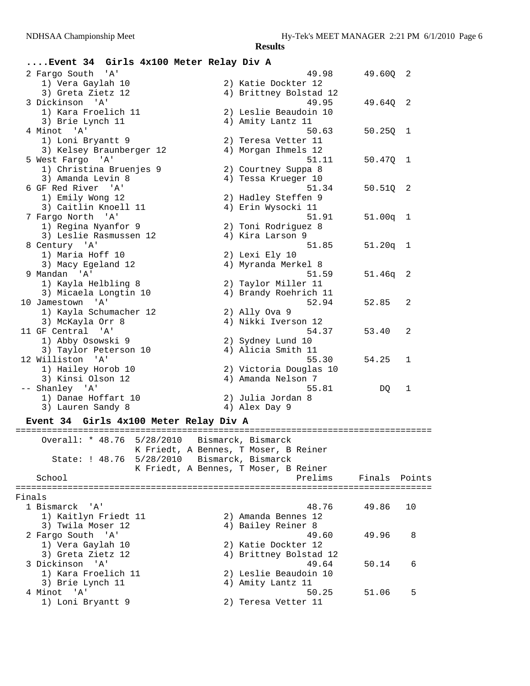## **....Event 34 Girls 4x100 Meter Relay Div A**

| 2 Fargo South 'A'                           | 49.98                                 | 49.60Q        | 2  |
|---------------------------------------------|---------------------------------------|---------------|----|
| 1) Vera Gaylah 10                           | 2) Katie Dockter 12                   |               |    |
| 3) Greta Zietz 12                           | 4) Brittney Bolstad 12                |               |    |
| 3 Dickinson 'A'                             | 49.95                                 | 49.640        | 2  |
| 1) Kara Froelich 11                         | 2) Leslie Beaudoin 10                 |               |    |
| 3) Brie Lynch 11                            | 4) Amity Lantz 11                     |               |    |
| 4 Minot 'A'                                 | 50.63                                 | 50.25Q        | 1  |
| 1) Loni Bryantt 9                           | 2) Teresa Vetter 11                   |               |    |
| 3) Kelsey Braunberger 12                    | 4) Morgan Ihmels 12                   |               |    |
| 5 West Fargo 'A'                            | 51.11                                 | 50.470        | 1  |
| 1) Christina Bruenjes 9                     | 2) Courtney Suppa 8                   |               |    |
| 3) Amanda Levin 8                           | 4) Tessa Krueger 10                   |               |    |
| 6 GF Red River 'A'                          | 51.34                                 | 50.51Q        | 2  |
| 1) Emily Wong 12                            | 2) Hadley Steffen 9                   |               |    |
| 3) Caitlin Knoell 11                        | 4) Erin Wysocki 11                    |               |    |
| 7 Fargo North 'A'                           | 51.91                                 | 51.00q        | -1 |
| 1) Regina Nyanfor 9                         | 2) Toni Rodriguez 8                   |               |    |
| 3) Leslie Rasmussen 12                      | 4) Kira Larson 9                      |               |    |
| 8 Century 'A'                               | 51.85                                 | $51.20q$ 1    |    |
| 1) Maria Hoff 10                            | 2) Lexi Ely 10                        |               |    |
| 3) Macy Egeland 12                          | 4) Myranda Merkel 8                   |               |    |
| 9 Mandan 'A'                                | 51.59                                 | $51.46q$ 2    |    |
| 1) Kayla Helbling 8                         | 2) Taylor Miller 11                   |               |    |
| 3) Micaela Longtin 10                       | 4) Brandy Roehrich 11                 |               |    |
| 10 Jamestown 'A'                            | 52.94                                 | 52.85         | 2  |
| 1) Kayla Schumacher 12                      | 2) Ally Ova 9                         |               |    |
| 3) McKayla Orr 8                            | 4) Nikki Iverson 12                   |               |    |
| 11 GF Central 'A'                           | 54.37                                 | 53.40         | 2  |
| 1) Abby Osowski 9                           | 2) Sydney Lund 10                     |               |    |
| 3) Taylor Peterson 10                       | 4) Alicia Smith 11                    |               |    |
| 12 Williston 'A'                            | 55.30                                 | 54.25         | 1  |
| 1) Hailey Horob 10                          | 2) Victoria Douglas 10                |               |    |
| 3) Kinsi Olson 12                           | 4) Amanda Nelson 7                    |               |    |
| -- Shanley 'A'                              | 55.81                                 | DO.           | 1  |
| 1) Danae Hoffart 10                         | 2) Julia Jordan 8                     |               |    |
| 3) Lauren Sandy 8                           | 4) Alex Day 9                         |               |    |
| Event 34 Girls 4x100 Meter Relay Div A      |                                       |               |    |
| Overall: * 48.76 5/28/2010                  | Bismarck, Bismarck                    |               |    |
|                                             | K Friedt, A Bennes, T Moser, B Reiner |               |    |
| State: ! 48.76 5/28/2010 Bismarck, Bismarck |                                       |               |    |
|                                             | K Friedt, A Bennes, T Moser, B Reiner |               |    |
| School                                      | Prelims                               | Finals Points |    |
|                                             |                                       |               |    |

Finals<br>1 Bismarck 'A' 1 Bismarck 'A' 48.76 49.86 10 1) Kaitlyn Friedt 11 2) Amanda Bennes 12 3) Twila Moser 12 (4) Bailey Reiner 8 2 Fargo South 'A' 49.60 49.96 8 1) Vera Gaylah 10 2) Katie Dockter 12 3) Greta Zietz 12 4) Brittney Bolstad 12 3 Dickinson 'A' 49.64 50.14 6 1) Kara Froelich 11 2) Leslie Beaudoin 10 3) Brie Lynch 11 1 4) Amity Lantz 11 4 Minot 'A' 50.25 51.06 5 1) Loni Bryantt 9 2) Teresa Vetter 11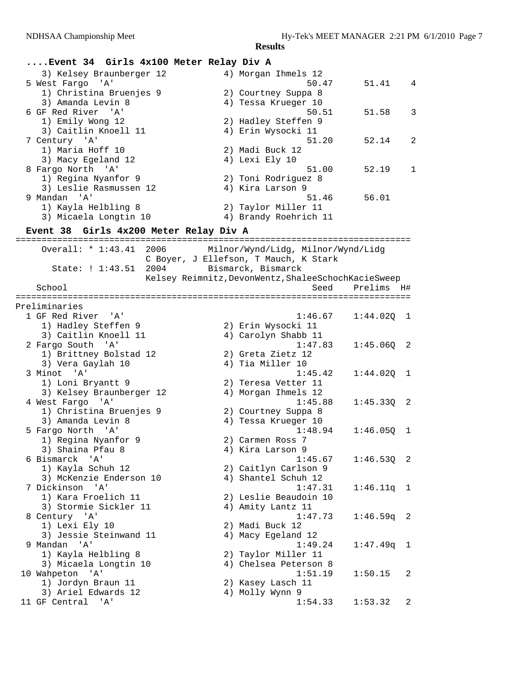| Event 34 Girls 4x100 Meter Relay Div A |                                                     |              |         |
|----------------------------------------|-----------------------------------------------------|--------------|---------|
| 3) Kelsey Braunberger 12               | 4) Morgan Ihmels 12                                 |              |         |
| 5 West Fargo 'A'                       | 50.47                                               | 51.41        | 4       |
| 1) Christina Bruenjes 9                | 2) Courtney Suppa 8                                 |              |         |
| 3) Amanda Levin 8                      | 4) Tessa Krueger 10                                 |              |         |
| 6 GF Red River 'A'                     | 50.51                                               | 51.58        | 3       |
| 1) Emily Wong 12                       | 2) Hadley Steffen 9                                 |              |         |
| 3) Caitlin Knoell 11                   | 4) Erin Wysocki 11                                  |              |         |
| 7 Century 'A'                          | 51.20                                               | 52.14        | 2       |
| 1) Maria Hoff 10                       | 2) Madi Buck 12                                     |              |         |
| 3) Macy Egeland 12                     | 4) Lexi Ely 10                                      |              |         |
| 8 Fargo North 'A'                      | 51.00                                               | 52.19        | 1       |
| 1) Regina Nyanfor 9                    | 2) Toni Rodriguez 8                                 |              |         |
| 3) Leslie Rasmussen 12                 | 4) Kira Larson 9                                    |              |         |
| 9 Mandan 'A'                           | 51.46                                               | 56.01        |         |
| 1) Kayla Helbling 8                    | 2) Taylor Miller 11                                 |              |         |
| 3) Micaela Longtin 10                  | 4) Brandy Roehrich 11                               |              |         |
| Event 38 Girls 4x200 Meter Relay Div A |                                                     |              |         |
|                                        |                                                     |              |         |
| Overall: $* 1:43.41$<br>2006           | Milnor/Wynd/Lidg, Milnor/Wynd/Lidg                  |              |         |
|                                        | C Boyer, J Ellefson, T Mauch, K Stark               |              |         |
| 2004<br>State: ! 1:43.51               | Bismarck, Bismarck                                  |              |         |
|                                        | Kelsey Reimnitz, DevonWentz, ShaleeSchochKacieSweep |              |         |
| School                                 | Seed                                                | Prelims H#   |         |
| Preliminaries                          |                                                     |              |         |
| 1 GF Red River 'A'                     | 1:46.67                                             | 1:44.02Q     | 1       |
| 1) Hadley Steffen 9                    | 2) Erin Wysocki 11                                  |              |         |
| 3) Caitlin Knoell 11                   | 4) Carolyn Shabb 11                                 |              |         |
| 2 Fargo South 'A'                      | 1:47.83                                             | 1:45.06Q     | 2       |
| 1) Brittney Bolstad 12                 | 2) Greta Zietz 12                                   |              |         |
| 3) Vera Gaylah 10                      | 4) Tia Miller 10                                    |              |         |
| 3 Minot 'A'                            | 1:45.42                                             | 1:44.02Q     | ı       |
| 1) Loni Bryantt 9                      | 2) Teresa Vetter 11                                 |              |         |
| 3) Kelsey Braunberger 12               | 4) Morgan Ihmels 12                                 |              |         |
| 4 West Fargo 'A'                       | 1:45.88                                             | 1:45.33Q     | 2       |
| 1) Christina Bruenjes 9                | 2) Courtney Suppa 8                                 |              |         |
| 3) Amanda Levin 8                      | 4) Tessa Krueger 10                                 |              |         |
| 5 Fargo North 'A'                      | 1:48.94                                             | 1:46.050     | ı       |
| 1) Regina Nyanfor 9                    | 2) Carmen Ross 7                                    |              |         |
| 3) Shaina Pfau 8                       | 4) Kira Larson 9                                    |              |         |
| 6 Bismarck<br>' A '                    | 1:45.67                                             | 1:46.53Q     | - 2     |
| 1) Kayla Schuh 12                      | 2) Caitlyn Carlson 9                                |              |         |
| 3) McKenzie Enderson 10                | 4) Shantel Schuh 12                                 |              |         |
| 7 Dickinson<br>' A '                   | 1:47.31                                             | 1:46.11q     | $\perp$ |
| 1) Kara Froelich 11                    | 2) Leslie Beaudoin 10                               |              |         |
| 3) Stormie Sickler 11                  | 4) Amity Lantz 11                                   |              |         |
| 8 Century 'A'                          | 1:47.73                                             | $1:46.59q$ 2 |         |
| 1) Lexi Ely 10                         | 2) Madi Buck 12                                     |              |         |
| 3) Jessie Steinwand 11                 | 4) Macy Egeland 12                                  |              |         |
| 9 Mandan<br>' A '                      | 1:49.24                                             | 1:47.49q     | - 1     |
| 1) Kayla Helbling 8                    | 2) Taylor Miller 11                                 |              |         |
| 3) Micaela Longtin 10                  | 4) Chelsea Peterson 8                               |              |         |
| 10 Wahpeton 'A'                        | 1:51.19                                             | 1:50.15      | 2       |
| 1) Jordyn Braun 11                     | 2) Kasey Lasch 11                                   |              |         |
| 3) Ariel Edwards 12                    | 4) Molly Wynn 9                                     |              |         |
| 11 GF Central 'A'                      | 1:54.33                                             | 1:53.32      | 2       |
|                                        |                                                     |              |         |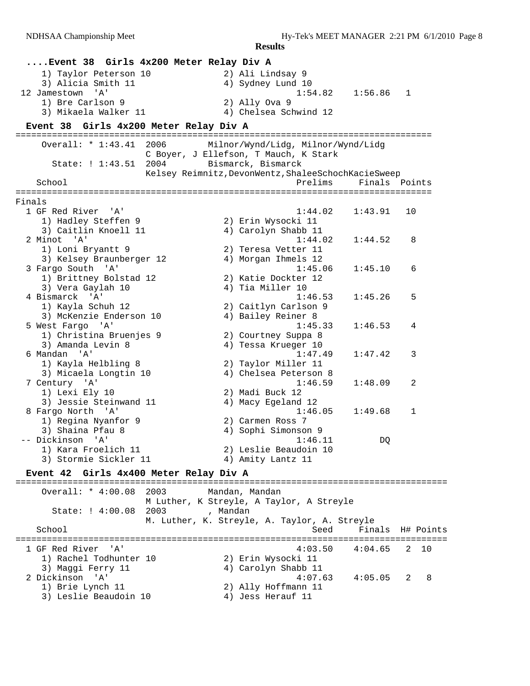|        | Event 38 Girls 4x200 Meter Relay Div A      |          |                                                     |                                |                  |
|--------|---------------------------------------------|----------|-----------------------------------------------------|--------------------------------|------------------|
|        | 1) Taylor Peterson 10                       |          | 2) Ali Lindsay 9                                    |                                |                  |
|        | 3) Alicia Smith 11                          |          | 4) Sydney Lund 10                                   |                                |                  |
|        | 'A'<br>12 Jamestown                         |          | 1:54.82                                             | 1:56.86                        | 1                |
|        | 1) Bre Carlson 9                            |          | 2) Ally Ova 9                                       |                                |                  |
|        | 3) Mikaela Walker 11                        |          | 4) Chelsea Schwind 12                               |                                |                  |
|        | Event 38 Girls 4x200 Meter Relay Div A      |          |                                                     |                                |                  |
|        | Overall: * 1:43.41<br>2006                  |          | Milnor/Wynd/Lidg, Milnor/Wynd/Lidg                  |                                |                  |
|        |                                             |          | C Boyer, J Ellefson, T Mauch, K Stark               |                                |                  |
|        | State: ! 1:43.51<br>2004                    |          | Bismarck, Bismarck                                  |                                |                  |
|        |                                             |          | Kelsey Reimnitz, DevonWentz, ShaleeSchochKacieSweep |                                |                  |
|        | School                                      |          | Prelims                                             |                                | Finals Points    |
| Finals |                                             |          |                                                     |                                |                  |
|        | 1 GF Red River<br>'' A '                    |          | 1:44.02                                             | 1:43.91                        | 10               |
|        | 1) Hadley Steffen 9                         |          | 2) Erin Wysocki 11                                  |                                |                  |
|        | 3) Caitlin Knoell 11                        |          | 4) Carolyn Shabb 11                                 |                                |                  |
|        | 2 Minot 'A'                                 |          | 1:44.02                                             | 1:44.52                        | 8                |
|        | 1) Loni Bryantt 9                           |          | 2) Teresa Vetter 11                                 |                                |                  |
|        | 3) Kelsey Braunberger 12                    |          | 4) Morgan Ihmels 12                                 |                                |                  |
|        | 3 Fargo South 'A'                           |          | 1:45.06<br>2) Katie Dockter 12                      | 1:45.10                        | 6                |
|        | 1) Brittney Bolstad 12<br>3) Vera Gaylah 10 |          | 4) Tia Miller 10                                    |                                |                  |
|        | 4 Bismarck 'A'                              |          | 1:46.53                                             | 1:45.26                        | 5                |
|        | 1) Kayla Schuh 12                           |          | 2) Caitlyn Carlson 9                                |                                |                  |
|        | 3) McKenzie Enderson 10                     |          | 4) Bailey Reiner 8                                  |                                |                  |
|        | 5 West Fargo 'A'                            |          | 1:45.33                                             | 1:46.53                        | 4                |
|        | 1) Christina Bruenjes 9                     |          | 2) Courtney Suppa 8                                 |                                |                  |
|        | 3) Amanda Levin 8                           |          | 4) Tessa Krueger 10                                 |                                |                  |
|        | 6 Mandan 'A'                                |          | 1:47.49                                             | 1:47.42                        | 3                |
|        | 1) Kayla Helbling 8                         |          | 2) Taylor Miller 11                                 |                                |                  |
|        | 3) Micaela Longtin 10                       |          | 4) Chelsea Peterson 8<br>1:46.59                    |                                | 2                |
|        | 7 Century 'A'<br>1) Lexi Ely 10             |          | 2) Madi Buck 12                                     | 1:48.09                        |                  |
|        | 3) Jessie Steinwand 11                      |          | 4) Macy Egeland 12                                  |                                |                  |
|        | 8 Fargo North 'A'                           |          | 1:46.05                                             | 1:49.68                        | 1                |
|        | 1) Regina Nyanfor 9                         |          | 2) Carmen Ross 7                                    |                                |                  |
|        | 3) Shaina Pfau 8                            |          | 4) Sophi Simonson 9                                 |                                |                  |
|        | -- Dickinson 'A'                            |          | 1:46.11                                             | DQ                             |                  |
|        | 1) Kara Froelich 11                         |          | 2) Leslie Beaudoin 10                               |                                |                  |
|        | 3) Stormie Sickler 11                       |          | 4) Amity Lantz 11                                   |                                |                  |
|        | Event 42 Girls 4x400 Meter Relay Div A      |          |                                                     |                                |                  |
|        | Overall: * 4:00.08<br>2003                  |          | Mandan, Mandan                                      |                                |                  |
|        |                                             |          | M Luther, K Streyle, A Taylor, A Streyle            |                                |                  |
|        | State: ! 4:00.08<br>2003                    | , Mandan |                                                     |                                |                  |
|        |                                             |          | M. Luther, K. Streyle, A. Taylor, A. Streyle        |                                |                  |
|        | School                                      |          | Seed                                                |                                | Finals H# Points |
|        | 1 GF Red River<br>י A י                     |          | 4:03.50                                             | ;============================= | 2<br>10          |
|        | 1) Rachel Todhunter 10                      |          | 2) Erin Wysocki 11                                  | 4:04.65                        |                  |
|        | 3) Maggi Ferry 11                           |          | 4) Carolyn Shabb 11                                 |                                |                  |
|        | 2 Dickinson 'A'                             |          | 4:07.63                                             | 4:05.05                        | 8<br>2           |
|        | 1) Brie Lynch 11                            |          | 2) Ally Hoffmann 11                                 |                                |                  |
|        | 3) Leslie Beaudoin 10                       |          | 4) Jess Herauf 11                                   |                                |                  |
|        |                                             |          |                                                     |                                |                  |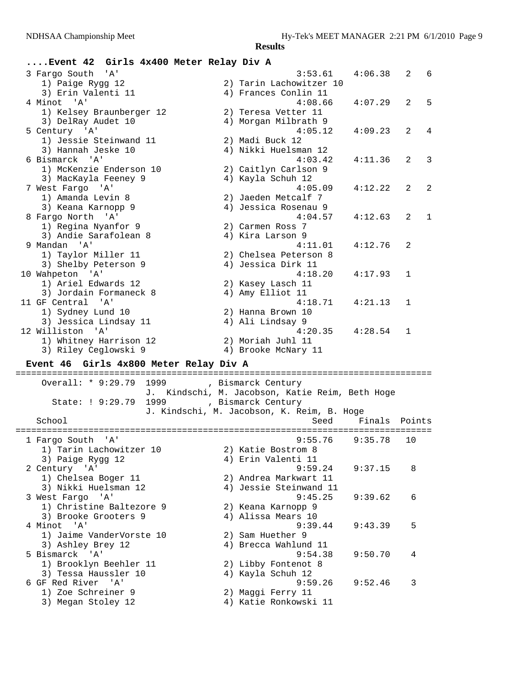### **....Event 42 Girls 4x400 Meter Relay Div A**

| 3 Fargo South 'A'        | 3:53.61                 | 4:06.38 | 2            | - 6          |
|--------------------------|-------------------------|---------|--------------|--------------|
| 1) Paige Rygg 12         | 2) Tarin Lachowitzer 10 |         |              |              |
| 3) Erin Valenti 11       | 4) Frances Conlin 11    |         |              |              |
| 4 Minot 'A'              | 4:08.66                 | 4:07.29 | 2            | 5            |
| 1) Kelsey Braunberger 12 | 2) Teresa Vetter 11     |         |              |              |
| 3) DelRay Audet 10       | 4) Morgan Milbrath 9    |         |              |              |
| 5 Century 'A'            | 4:05.12                 | 4:09.23 | 2            | 4            |
| 1) Jessie Steinwand 11   | 2) Madi Buck 12         |         |              |              |
| 3) Hannah Jeske 10       | 4) Nikki Huelsman 12    |         |              |              |
| 6 Bismarck 'A'           | 4:03.42                 | 4:11.36 | 2            | 3            |
| 1) McKenzie Enderson 10  | 2) Caitlyn Carlson 9    |         |              |              |
| 3) MacKayla Feeney 9     | 4) Kayla Schuh 12       |         |              |              |
| 7 West Fargo 'A'         | 4:05.09                 | 4:12.22 | 2            | 2            |
| 1) Amanda Levin 8        | 2) Jaeden Metcalf 7     |         |              |              |
| 3) Keana Karnopp 9       | 4) Jessica Rosenau 9    |         |              |              |
| 8 Fargo North 'A'        | 4:04.57                 | 4:12.63 | 2            | $\mathbf{1}$ |
| 1) Regina Nyanfor 9      | 2) Carmen Ross 7        |         |              |              |
| 3) Andie Sarafolean 8    | 4) Kira Larson 9        |         |              |              |
| 9 Mandan 'A'             | 4:11.01                 | 4:12.76 | 2            |              |
| 1) Taylor Miller 11      | 2) Chelsea Peterson 8   |         |              |              |
| 3) Shelby Peterson 9     | 4) Jessica Dirk 11      |         |              |              |
| 10 Wahpeton 'A'          | 4:18.20                 | 4:17.93 | $\mathbf{1}$ |              |
| 1) Ariel Edwards 12      | 2) Kasey Lasch 11       |         |              |              |
| 3) Jordain Formaneck 8   | 4) Amy Elliot 11        |         |              |              |
| 11 GF Central 'A'        | 4:18.71                 | 4:21.13 | 1            |              |
| 1) Sydney Lund 10        | 2) Hanna Brown 10       |         |              |              |
| 3) Jessica Lindsay 11    | 4) Ali Lindsay 9        |         |              |              |
| 12 Williston 'A'         | 4:20.35                 | 4:28.54 | 1            |              |
| 1) Whitney Harrison 12   | 2) Moriah Juhl 11       |         |              |              |
| 3) Riley Ceglowski 9     | 4) Brooke McNary 11     |         |              |              |

#### **Event 46 Girls 4x800 Meter Relay Div A**

================================================================================ Overall: \* 9:29.79 1999 , Bismarck Century J. Kindschi, M. Jacobson, Katie Reim, Beth Hoge State: ! 9:29.79 1999 , Bismarck Century J. Kindschi, M. Jacobson, K. Reim, B. Hoge School Seed Finals Points ================================================================================ 1 Fargo South 'A' 9:55.76 9:35.78 10 1) Tarin Lachowitzer 10 2) Katie Bostrom 8 3) Paige Rygg 12 (4) Erin Valenti 11 2 Century 'A' 9:59.24 9:37.15 8 1) Chelsea Boger 11 2) Andrea Markwart 11 3) Nikki Huelsman 12 4) Jessie Steinwand 11 3 West Fargo 'A' 9:45.25 9:39.62 6 1) Christine Baltezore 9 2) Keana Karnopp 9 3) Brooke Grooters 9 (4) Alissa Mears 10 4 Minot 'A' 9:39.44 9:43.39 5 1) Jaime VanderVorste 10 2) Sam Huether 9 3) Ashley Brey 12 (4) Brecca Wahlund 11 5 Bismarck 'A' 9:54.38 9:50.70 4 1) Brooklyn Beehler 11 120 20 Libby Fontenot 8 3) Tessa Haussler 10 4) Kayla Schuh 12 6 GF Red River 'A' 9:59.26 9:52.46 3 1) Zoe Schreiner 9 2) Maggi Ferry 11 3) Megan Stoley 12 4) Katie Ronkowski 11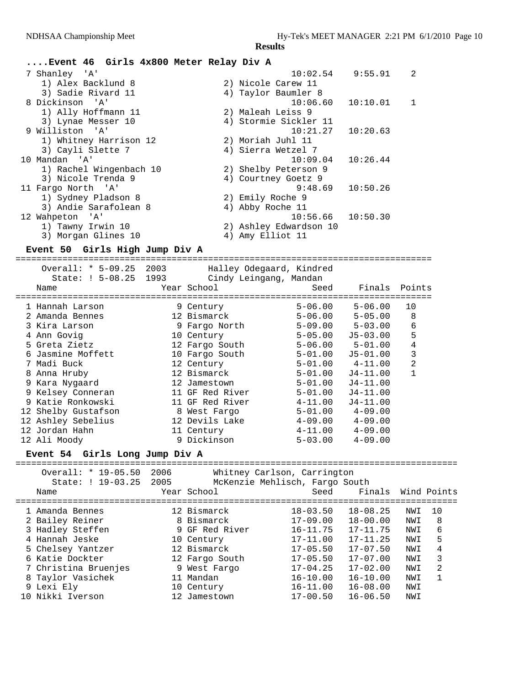# **....Event 46 Girls 4x800 Meter Relay Div A**

| 7 Shanley 'A'           | 10:02.54               | 9:55.91  | 2 |
|-------------------------|------------------------|----------|---|
| 1) Alex Backlund 8      | 2) Nicole Carew 11     |          |   |
| 3) Sadie Rivard 11      | 4) Taylor Baumler 8    |          |   |
| 8 Dickinson 'A'         | $10:06.60$ $10:10.01$  |          | 1 |
| 1) Ally Hoffmann 11     | 2) Maleah Leiss 9      |          |   |
| 3) Lynae Messer 10      | 4) Stormie Sickler 11  |          |   |
| 9 Williston 'A'         | $10:21.27$ $10:20.63$  |          |   |
| 1) Whitney Harrison 12  | 2) Moriah Juhl 11      |          |   |
| 3) Cayli Slette 7       | 4) Sierra Wetzel 7     |          |   |
| 10 Mandan 'A'           | 10:09.04               | 10:26.44 |   |
| 1) Rachel Wingenbach 10 | 2) Shelby Peterson 9   |          |   |
| 3) Nicole Trenda 9      | 4) Courtney Goetz 9    |          |   |
| 11 Fargo North 'A'      | 9:48.69                | 10:50.26 |   |
| 1) Sydney Pladson 8     | 2) Emily Roche 9       |          |   |
| 3) Andie Sarafolean 8   | 4) Abby Roche 11       |          |   |
| 12 Wahpeton 'A'         | $10:56.66$ $10:50.30$  |          |   |
| 1) Tawny Irwin 10       | 2) Ashley Edwardson 10 |          |   |
| 3) Morgan Glines 10     | 4) Amy Elliot 11       |          |   |

### **Event 50 Girls High Jump Div A**

================================================================================ Overall: \* 5-09.25 2003 Halley Odegaard, Kindred

| Name |                                                                                                                                                                                                                                                                                    |                       |                                                                                                                                                                                                                                                                                                |                        |                                                                                                                                                   |
|------|------------------------------------------------------------------------------------------------------------------------------------------------------------------------------------------------------------------------------------------------------------------------------------|-----------------------|------------------------------------------------------------------------------------------------------------------------------------------------------------------------------------------------------------------------------------------------------------------------------------------------|------------------------|---------------------------------------------------------------------------------------------------------------------------------------------------|
|      |                                                                                                                                                                                                                                                                                    |                       |                                                                                                                                                                                                                                                                                                |                        |                                                                                                                                                   |
|      |                                                                                                                                                                                                                                                                                    |                       | $5 - 06.00$                                                                                                                                                                                                                                                                                    | $5 - 06.00$            | 10                                                                                                                                                |
|      |                                                                                                                                                                                                                                                                                    |                       | $5 - 06.00$                                                                                                                                                                                                                                                                                    | $5 - 05.00$            | 8                                                                                                                                                 |
|      |                                                                                                                                                                                                                                                                                    |                       |                                                                                                                                                                                                                                                                                                | $5 - 03.00$            | 6                                                                                                                                                 |
|      |                                                                                                                                                                                                                                                                                    |                       |                                                                                                                                                                                                                                                                                                | $J5 - 03.00$           | 5                                                                                                                                                 |
|      |                                                                                                                                                                                                                                                                                    |                       | $5 - 06.00$                                                                                                                                                                                                                                                                                    | $5 - 01.00$            | 4                                                                                                                                                 |
|      |                                                                                                                                                                                                                                                                                    |                       | $5 - 01.00$                                                                                                                                                                                                                                                                                    | $J5 - 01.00$           | 3                                                                                                                                                 |
|      |                                                                                                                                                                                                                                                                                    |                       |                                                                                                                                                                                                                                                                                                |                        | $\overline{2}$                                                                                                                                    |
|      |                                                                                                                                                                                                                                                                                    |                       |                                                                                                                                                                                                                                                                                                | J4-11.00               |                                                                                                                                                   |
|      |                                                                                                                                                                                                                                                                                    |                       |                                                                                                                                                                                                                                                                                                | $J4 - 11.00$           |                                                                                                                                                   |
|      |                                                                                                                                                                                                                                                                                    |                       |                                                                                                                                                                                                                                                                                                | $J4-11.00$             |                                                                                                                                                   |
|      |                                                                                                                                                                                                                                                                                    |                       | $4 - 11.00$                                                                                                                                                                                                                                                                                    | $J4-11.00$             |                                                                                                                                                   |
|      |                                                                                                                                                                                                                                                                                    |                       | $5 - 01.00$                                                                                                                                                                                                                                                                                    | $4 - 09.00$            |                                                                                                                                                   |
|      |                                                                                                                                                                                                                                                                                    |                       | $4 - 09.00$                                                                                                                                                                                                                                                                                    | $4 - 09.00$            |                                                                                                                                                   |
|      |                                                                                                                                                                                                                                                                                    |                       |                                                                                                                                                                                                                                                                                                | $4 - 09.00$            |                                                                                                                                                   |
|      |                                                                                                                                                                                                                                                                                    |                       |                                                                                                                                                                                                                                                                                                | $4 - 09.00$            |                                                                                                                                                   |
|      | 1 Hannah Larson<br>2 Amanda Bennes<br>3 Kira Larson<br>4 Ann Govig<br>5 Greta Zietz<br>6 Jasmine Moffett<br>7 Madi Buck<br>8 Anna Hruby<br>9 Kara Nygaard<br>9 Kelsey Conneran<br>9 Katie Ronkowski<br>12 Shelby Gustafson<br>12 Ashley Sebelius<br>12 Jordan Hahn<br>12 Ali Moody | State: ! 5-08.25 1993 | Year School<br>==============================<br>9 Century<br>12 Bismarck<br>9 Fargo North<br>10 Century<br>12 Fargo South<br>10 Fargo South<br>12 Century<br>12 Bismarck<br>12 Jamestown<br>11 GF Red River<br>11 GF Red River<br>8 West Fargo<br>12 Devils Lake<br>11 Century<br>9 Dickinson | Cindy Leingang, Mandan | Finals Points<br>Seed<br>$5 - 09.00$<br>$5 - 05.00$<br>$5-01.00$ $4-11.00$<br>$5 - 01.00$<br>$5 - 01.00$<br>$5 - 01.00$<br>4-11.00<br>$5 - 03.00$ |

### **Event 54 Girls Long Jump Div A**

|  | Overall: * 19-05.50<br>State: ! 19-03.25<br>Name | 2006<br>2005 | Year School    | Whitney Carlson, Carrington<br>McKenzie Mehlisch, Fargo South<br>Seed | Finals       |     | Wind Points    |
|--|--------------------------------------------------|--------------|----------------|-----------------------------------------------------------------------|--------------|-----|----------------|
|  | 1 Amanda Bennes                                  |              | 12 Bismarck    | $18 - 03.50$                                                          | $18 - 08.25$ | NWI | 1 O            |
|  | 2 Bailey Reiner                                  |              | 8 Bismarck     | $17 - 09.00$                                                          | $18 - 00.00$ | NWI | 8              |
|  | 3 Hadley Steffen                                 |              | 9 GF Red River | $16 - 11.75$                                                          | $17 - 11.75$ | NWI | 6              |
|  | 4 Hannah Jeske                                   |              | 10 Century     | $17 - 11.00$                                                          | $17 - 11.25$ | NWI | 5              |
|  | 5 Chelsey Yantzer                                |              | 12 Bismarck    | $17 - 05.50$                                                          | $17 - 07.50$ | NWI | 4              |
|  | 6 Katie Dockter                                  |              | 12 Fargo South | $17 - 05.50$                                                          | $17 - 07.00$ | NWI | 3              |
|  | 7 Christina Bruenjes                             |              | 9 West Fargo   | $17 - 04.25$                                                          | $17 - 02.00$ | NWI | $\mathfrak{D}$ |
|  | 8 Taylor Vasichek                                |              | 11 Mandan      | $16 - 10.00$                                                          | $16 - 10.00$ | NWI |                |
|  | 9 Lexi Ely                                       |              | 10 Century     | $16 - 11.00$                                                          | $16 - 08.00$ | NWI |                |
|  | 10 Nikki Iverson                                 |              | 12 Jamestown   | $17 - 00.50$                                                          | $16 - 06.50$ | NWI |                |
|  |                                                  |              |                |                                                                       |              |     |                |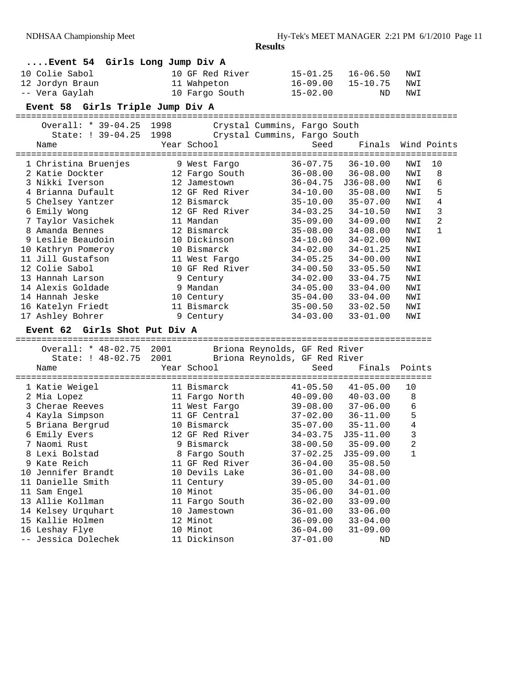| Event 54 Girls Long Jump Div A |                                         |      |                 |                               |                     |             |    |
|--------------------------------|-----------------------------------------|------|-----------------|-------------------------------|---------------------|-------------|----|
|                                | 10 Colie Sabol                          |      | 10 GF Red River | $15 - 01.25$                  | $16 - 06.50$        | NWI         |    |
|                                | 12 Jordyn Braun                         |      | 11 Wahpeton     | $16 - 09.00$                  | $15 - 10.75$        | NWI         |    |
|                                | -- Vera Gaylah                          |      | 10 Fargo South  | $15 - 02.00$                  | ND                  | NWI         |    |
|                                | Event 58 Girls Triple Jump Div A        |      |                 |                               |                     |             |    |
|                                | ===========<br>Overall: * 39-04.25      | 1998 | -------         | Crystal Cummins, Fargo South  |                     |             |    |
|                                | State: ! 39-04.25                       | 1998 |                 | Crystal Cummins, Fargo South  |                     |             |    |
|                                | Name                                    |      | Year School     | Seed                          | Finals              | Wind Points |    |
|                                |                                         |      |                 |                               |                     |             |    |
|                                | 1 Christina Bruenjes                    |      | 9 West Fargo    | $36 - 07.75$                  | $36 - 10.00$        | NWI         | 10 |
|                                | 2 Katie Dockter                         |      | 12 Fargo South  | $36 - 08.00$                  | $36 - 08.00$        | NWI         | 8  |
|                                | 3 Nikki Iverson                         |      | 12 Jamestown    | $36 - 04.75$                  | $J36-08.00$         | NWI         | 6  |
|                                | 4 Brianna Dufault                       |      | 12 GF Red River | $34 - 10.00$                  | $35 - 08.00$        | NWI         | 5  |
|                                | 5 Chelsey Yantzer                       |      | 12 Bismarck     | $35 - 10.00$                  | $35 - 07.00$        | NWI         | 4  |
|                                | 6 Emily Wong                            |      | 12 GF Red River | $34 - 03.25$                  | $34 - 10.50$        | NWI         | 3  |
|                                | 7 Taylor Vasichek                       |      | 11 Mandan       | $35 - 09.00$                  | $34 - 09.00$        | NWI         | 2  |
|                                | 8 Amanda Bennes                         |      | 12 Bismarck     | $35 - 08.00$                  | $34 - 08.00$        | NWI         | 1  |
|                                | 9 Leslie Beaudoin                       |      | 10 Dickinson    | $34 - 10.00$                  | $34 - 02.00$        | NWI         |    |
|                                | 10 Kathryn Pomeroy                      |      | 10 Bismarck     | $34 - 02.00$                  | $34 - 01.25$        | NWI         |    |
|                                | 11 Jill Gustafson                       |      | 11 West Fargo   | $34 - 05.25$                  | $34 - 00.00$        | NWI         |    |
|                                | 12 Colie Sabol                          |      | 10 GF Red River | $34 - 00.50$                  | $33 - 05.50$        | NWI         |    |
|                                | 13 Hannah Larson                        |      | 9 Century       | $34 - 02.00$                  | $33 - 04.75$        | NWI         |    |
|                                | 14 Alexis Goldade                       |      | 9 Mandan        | $34 - 05.00$                  | $33 - 04.00$        | NWI         |    |
|                                | 14 Hannah Jeske                         |      | 10 Century      | $35 - 04.00$                  | $33 - 04.00$        | NWI         |    |
|                                | 16 Katelyn Friedt                       |      | 11 Bismarck     | $35 - 00.50$                  | $33 - 02.50$        | NWI         |    |
|                                | 17 Ashley Bohrer                        |      | 9 Century       | $34 - 03.00$                  | $33 - 01.00$        | NWI         |    |
|                                | Girls Shot Put Div A<br><b>Event 62</b> |      |                 |                               |                     |             |    |
|                                | =========                               |      |                 |                               | =================== |             |    |
|                                | Overall: * 48-02.75                     | 2001 |                 | Briona Reynolds, GF Red River |                     |             |    |
|                                | State: ! 48-02.75                       | 2001 |                 | Briona Reynolds, GF Red River |                     |             |    |
|                                | Name                                    |      | Year School     | Seed                          | Finals              | Points      |    |
|                                | 1 Katie Weigel                          |      | 11 Bismarck     | $41 - 05.50$                  | $41 - 05.00$        | 10          |    |
|                                | 2 Mia Lopez                             |      | 11 Fargo North  | $40 - 09.00$                  | $40 - 03.00$        | 8           |    |
|                                | 3 Cherae Reeves                         |      | 11 West Fargo   | $39 - 08.00$                  | $37 - 06.00$        | 6           |    |
|                                | 4 Kayla Simpson                         |      | 11 GF Central   | $37 - 02.00$                  | $36 - 11.00$        | 5           |    |
|                                |                                         |      |                 |                               |                     |             |    |
|                                | 5 Briana Bergrud                        |      | 10 Bismarck     | $35 - 07.00$                  | $35 - 11.00$        | $\,4$       |    |
|                                | 6 Emily Evers                           |      | 12 GF Red River | $34 - 03.75$                  | $J35 - 11.00$       | 3           |    |
|                                | 7 Naomi Rust                            |      | 9 Bismarck      | $38 - 00.50$                  | $35 - 09.00$        |             |    |
|                                | 8 Lexi Bolstad                          |      | 8 Fargo South   | $37 - 02.25$                  | $J35-09.00$         | 1           |    |
|                                | 9 Kate Reich                            |      | 11 GF Red River | $36 - 04.00$                  | $35 - 08.50$        |             |    |
|                                | 10 Jennifer Brandt                      |      | 10 Devils Lake  | $36 - 01.00$                  | $34 - 08.00$        |             |    |
|                                | 11 Danielle Smith                       |      | 11 Century      | $39 - 05.00$                  | $34 - 01.00$        |             |    |
|                                | 11 Sam Engel                            |      | 10 Minot        | $35 - 06.00$                  | $34 - 01.00$        |             |    |
|                                | 13 Allie Kollman                        |      | 11 Fargo South  | $36 - 02.00$                  | $33 - 09.00$        |             |    |
|                                | 14 Kelsey Urquhart                      |      | 10 Jamestown    | $36 - 01.00$                  | $33 - 06.00$        |             |    |
|                                | 15 Kallie Holmen                        |      | 12 Minot        | $36 - 09.00$                  | $33 - 04.00$        |             |    |
|                                | 16 Leshay Flye                          |      | 10 Minot        | $36 - 04.00$                  | $31 - 09.00$        |             |    |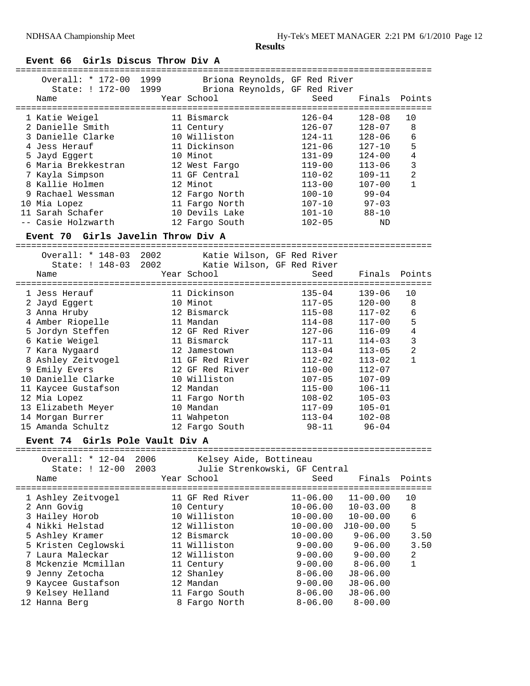# **Event 66 Girls Discus Throw Div A**

| Overall: * 172-00<br>State: ! 172-00<br>Name | 1999<br>Briona Reynolds, GF Red River<br>1999<br>Briona Reynolds, GF Red River<br>Year School | Seed       | Finals     | Points         |
|----------------------------------------------|-----------------------------------------------------------------------------------------------|------------|------------|----------------|
| 1 Katie Weigel                               | 11 Bismarck                                                                                   | $126 - 04$ | $128 - 08$ | 10             |
| 2 Danielle Smith                             | 11 Century                                                                                    | $126 - 07$ | $128 - 07$ | 8              |
| 3 Danielle Clarke                            | 10 Williston                                                                                  | $124 - 11$ | $128 - 06$ | 6              |
| 4 Jess Herauf                                | 11 Dickinson                                                                                  | $121 - 06$ | $127 - 10$ | 5              |
| 5 Jayd Eqqert                                | 10 Minot                                                                                      | $131 - 09$ | $124 - 00$ | 4              |
| 6 Maria Brekkestran                          | 12 West Fargo                                                                                 | $119 - 00$ | $113 - 06$ | 3              |
| 7 Kayla Simpson                              | 11 GF Central                                                                                 | $110 - 02$ | $109 - 11$ | $\overline{2}$ |
| 8 Kallie Holmen                              | 12 Minot                                                                                      | $113 - 00$ | $107 - 00$ | 1              |
| 9 Rachael Wessman                            | 12 Fargo North                                                                                | $100 - 10$ | $99 - 04$  |                |
| 10 Mia Lopez                                 | 11 Fargo North                                                                                | $107 - 10$ | $97 - 03$  |                |
| 11 Sarah Schafer                             | 10 Devils Lake                                                                                | $101 - 10$ | $88 - 10$  |                |
| -- Casie Holzwarth                           | 12 Fargo South                                                                                | $102 - 05$ | ND         |                |
| Event 70                                     | Girls Javelin Throw Div A                                                                     |            |            |                |

|                                                 | Overall: * 148-03 2002<br>State: ! 148-03 2002 |      | Katie Wilson, GF Red River<br>Katie Wilson, GF Red River |                               |               |                |
|-------------------------------------------------|------------------------------------------------|------|----------------------------------------------------------|-------------------------------|---------------|----------------|
| Name                                            |                                                |      | Year School                                              | Seed                          | Finals Points |                |
|                                                 |                                                |      |                                                          |                               |               |                |
| 1 Jess Herauf                                   |                                                |      | 11 Dickinson                                             | $135 - 04$                    | $139 - 06$    | 10             |
| 2 Jayd Eqqert                                   |                                                |      | 10 Minot                                                 | $117 - 05$                    | $120 - 00$    | 8              |
| 3 Anna Hruby                                    |                                                |      | 12 Bismarck                                              | $115 - 08$                    | $117 - 02$    | 6              |
|                                                 | 4 Amber Riopelle                               |      | 11 Mandan                                                | $114 - 08$                    | $117 - 00$    | 5              |
|                                                 | 5 Jordyn Steffen                               |      | 12 GF Red River                                          | 127-06                        | $116 - 09$    | $\overline{4}$ |
|                                                 | 6 Katie Weigel                                 |      | 11 Bismarck                                              | $117 - 11$                    | $114 - 03$    | 3              |
|                                                 | 7 Kara Nygaard                                 |      | 12 Jamestown                                             | $113 - 04$                    | $113 - 05$    | $\overline{c}$ |
|                                                 | 8 Ashley Zeitvogel                             |      | 11 GF Red River                                          | $112 - 02$                    | $113 - 02$    | $\mathbf{1}$   |
| 9 Emily Evers                                   |                                                |      | 12 GF Red River                                          | $110 - 00$                    | $112 - 07$    |                |
|                                                 | 10 Danielle Clarke                             |      | 10 Williston                                             | $107 - 05$                    | $107 - 09$    |                |
|                                                 | 11 Kaycee Gustafson                            |      | 12 Mandan                                                | $115 - 00$                    | $106 - 11$    |                |
| 12 Mia Lopez                                    |                                                |      | 11 Fargo North                                           | $108 - 02$                    | $105 - 03$    |                |
|                                                 | 13 Elizabeth Meyer                             |      | 10 Mandan                                                | $117 - 09$                    | $105 - 01$    |                |
|                                                 | 14 Morgan Burrer                               |      | 11 Wahpeton                                              | $113 - 04$                    | $102 - 08$    |                |
|                                                 | 15 Amanda Schultz                              |      | 12 Fargo South                                           | 98-11                         | $96 - 04$     |                |
| Event 74 Girls Pole Vault Div A                 |                                                |      |                                                          |                               |               |                |
| Overall: * 12-04 2006<br>Kelsey Aide, Bottineau |                                                |      |                                                          |                               |               |                |
|                                                 | State: ! 12-00                                 | 2003 |                                                          | Julie Strenkowski, GF Central |               |                |
| Name                                            |                                                |      | Year School                                              | Seed                          | Finals        | Points         |
|                                                 |                                                |      |                                                          | ----------------              |               |                |

| 1 Ashley Zeitvogel  | 11 GF Red River | $11 - 06.00$ | $11 - 00.00$ | 10   |
|---------------------|-----------------|--------------|--------------|------|
| 2 Ann Govig         | 10 Century      | $10 - 06.00$ | $10 - 03.00$ | 8    |
| 3 Hailey Horob      | 10 Williston    | $10 - 00.00$ | $10 - 00.00$ | 6    |
| 4 Nikki Helstad     | 12 Williston    | $10 - 00.00$ | $J10-00.00$  | 5    |
| 5 Ashley Kramer     | 12 Bismarck     | $10 - 00.00$ | $9 - 06.00$  | 3.50 |
| 5 Kristen Ceglowski | 11 Williston    | $9 - 00.00$  | $9 - 06.00$  | 3.50 |
| 7 Laura Maleckar    | 12 Williston    | $9 - 00.00$  | $9 - 00.00$  | 2    |
| 8 Mckenzie Mcmillan | 11 Century      | $9 - 00.00$  | $8 - 06.00$  | 1    |
| 9 Jenny Zetocha     | 12 Shanley      | $8 - 06.00$  | $J8 - 06.00$ |      |
| 9 Kaycee Gustafson  | 12 Mandan       | $9 - 00.00$  | $J8 - 06.00$ |      |
| 9 Kelsey Helland    | 11 Fargo South  | $8 - 06.00$  | $J8 - 06.00$ |      |
| 12 Hanna Berg       | 8 Fargo North   | $8 - 06.00$  | $8 - 00.00$  |      |
|                     |                 |              |              |      |